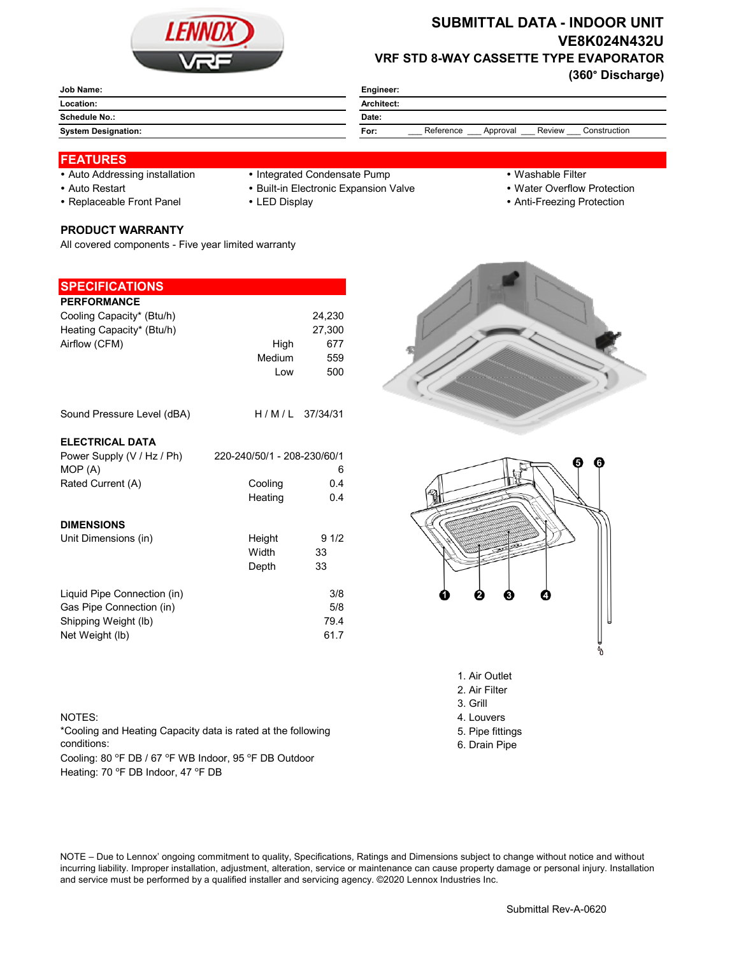

## **SUBMITTAL DATA - INDOOR UNIT VE8K024N432U VRF STD 8-WAY CASSETTE TYPE EVAPORATOR**

**(360° Discharge)**

| Job Name:                  | Engineer:                                               |  |  |
|----------------------------|---------------------------------------------------------|--|--|
| Location:                  | Architect:                                              |  |  |
| Schedule No.:              | Date:                                                   |  |  |
| <b>System Designation:</b> | Review<br>Reference<br>Construction<br>For:<br>Approval |  |  |
|                            |                                                         |  |  |

## **FEATURES**

- 
- Auto Addressing installation Integrated Condensate Pump Washable Filter
- 
- Replaceable Front Panel LED Display Anti-Freezing Protection

**PRODUCT WARRANTY**

**SPECIFICATIONS**

All covered components - Five year limited warranty

- 
- 
- 
- Auto Restart **Built-in Electronic Expansion Valve Water Overflow Protection** 
	-

| <b>PERFORMANCE</b>          |                             |        |
|-----------------------------|-----------------------------|--------|
| Cooling Capacity* (Btu/h)   |                             | 24,230 |
| Heating Capacity* (Btu/h)   |                             | 27,300 |
| Airflow (CFM)               |                             | 677    |
|                             | High                        |        |
|                             | <b>Medium</b>               | 559    |
|                             | Low                         | 500    |
|                             |                             |        |
| Sound Pressure Level (dBA)  | $H/M/L$ 37/34/31            |        |
|                             |                             |        |
| <b>ELECTRICAL DATA</b>      |                             |        |
| Power Supply (V / Hz / Ph)  | 220-240/50/1 - 208-230/60/1 |        |
| MOP (A)                     |                             | 6      |
| Rated Current (A)           | Cooling                     | 0.4    |
|                             | Heating                     | 0.4    |
|                             |                             |        |
| <b>DIMENSIONS</b>           |                             |        |
| Unit Dimensions (in)        | Height                      | 91/2   |
|                             | Width                       | 33     |
|                             | Depth                       | 33     |
|                             |                             |        |
| Liquid Pipe Connection (in) |                             | 3/8    |
| Gas Pipe Connection (in)    |                             | 5/8    |
|                             |                             | 79.4   |
| Shipping Weight (lb)        |                             |        |
| Net Weight (lb)             |                             | 61.7   |
|                             |                             |        |
|                             |                             |        |



\*Cooling and Heating Capacity data is rated at the following conditions:

Cooling: 80 °F DB / 67 °F WB Indoor, 95 °F DB Outdoor Heating: 70 °F DB Indoor, 47 °F DB





- 1. Air Outlet
- 2. Air Filter
- 3. Grill
- 
- 5. Pipe fittings
- 6. Drain Pipe

NOTE – Due to Lennox' ongoing commitment to quality, Specifications, Ratings and Dimensions subject to change without notice and without incurring liability. Improper installation, adjustment, alteration, service or maintenance can cause property damage or personal injury. Installation and service must be performed by a qualified installer and servicing agency. ©2020 Lennox Industries Inc.